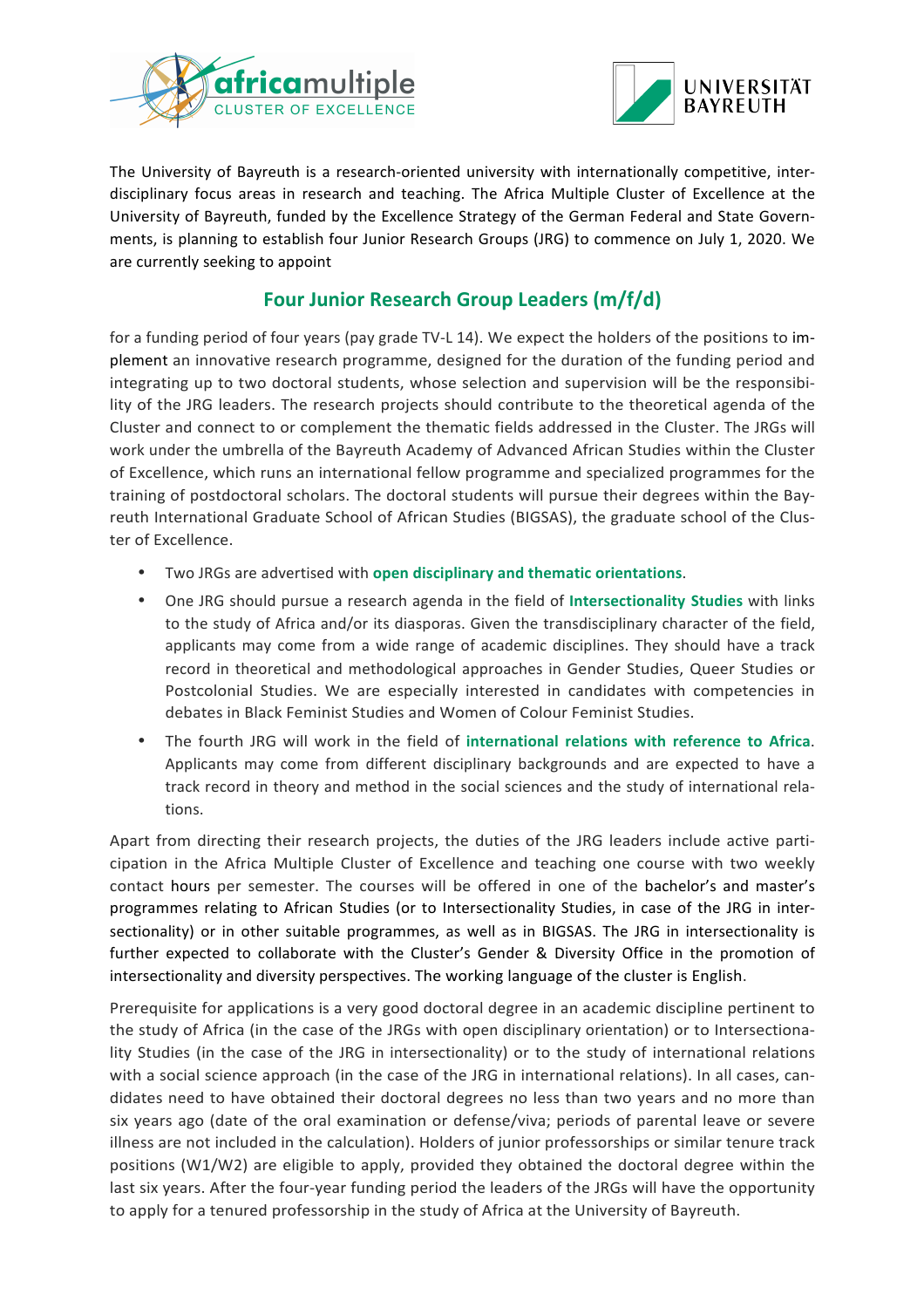



The University of Bayreuth is a research-oriented university with internationally competitive, interdisciplinary focus areas in research and teaching. The Africa Multiple Cluster of Excellence at the University of Bayreuth, funded by the Excellence Strategy of the German Federal and State Governments, is planning to establish four Junior Research Groups (JRG) to commence on July 1, 2020. We are currently seeking to appoint

## **Four Junior Research Group Leaders (m/f/d)**

for a funding period of four years (pay grade TV-L 14). We expect the holders of the positions to implement an innovative research programme, designed for the duration of the funding period and integrating up to two doctoral students, whose selection and supervision will be the responsibility of the JRG leaders. The research projects should contribute to the theoretical agenda of the Cluster and connect to or complement the thematic fields addressed in the Cluster. The JRGs will work under the umbrella of the Bayreuth Academy of Advanced African Studies within the Cluster of Excellence, which runs an international fellow programme and specialized programmes for the training of postdoctoral scholars. The doctoral students will pursue their degrees within the Bayreuth International Graduate School of African Studies (BIGSAS), the graduate school of the Cluster of Excellence.

- Two JRGs are advertised with **open disciplinary and thematic orientations**.
- One JRG should pursue a research agenda in the field of Intersectionality Studies with links to the study of Africa and/or its diasporas. Given the transdisciplinary character of the field, applicants may come from a wide range of academic disciplines. They should have a track record in theoretical and methodological approaches in Gender Studies, Queer Studies or Postcolonial Studies. We are especially interested in candidates with competencies in debates in Black Feminist Studies and Women of Colour Feminist Studies.
- The fourth JRG will work in the field of international relations with reference to Africa. Applicants may come from different disciplinary backgrounds and are expected to have a track record in theory and method in the social sciences and the study of international relations.

Apart from directing their research projects, the duties of the JRG leaders include active participation in the Africa Multiple Cluster of Excellence and teaching one course with two weekly contact hours per semester. The courses will be offered in one of the bachelor's and master's programmes relating to African Studies (or to Intersectionality Studies, in case of the JRG in intersectionality) or in other suitable programmes, as well as in BIGSAS. The JRG in intersectionality is further expected to collaborate with the Cluster's Gender & Diversity Office in the promotion of intersectionality and diversity perspectives. The working language of the cluster is English.

Prerequisite for applications is a very good doctoral degree in an academic discipline pertinent to the study of Africa (in the case of the JRGs with open disciplinary orientation) or to Intersectionality Studies (in the case of the JRG in intersectionality) or to the study of international relations with a social science approach (in the case of the JRG in international relations). In all cases, candidates need to have obtained their doctoral degrees no less than two years and no more than six years ago (date of the oral examination or defense/viva; periods of parental leave or severe illness are not included in the calculation). Holders of junior professorships or similar tenure track positions (W1/W2) are eligible to apply, provided they obtained the doctoral degree within the last six years. After the four-year funding period the leaders of the JRGs will have the opportunity to apply for a tenured professorship in the study of Africa at the University of Bayreuth.